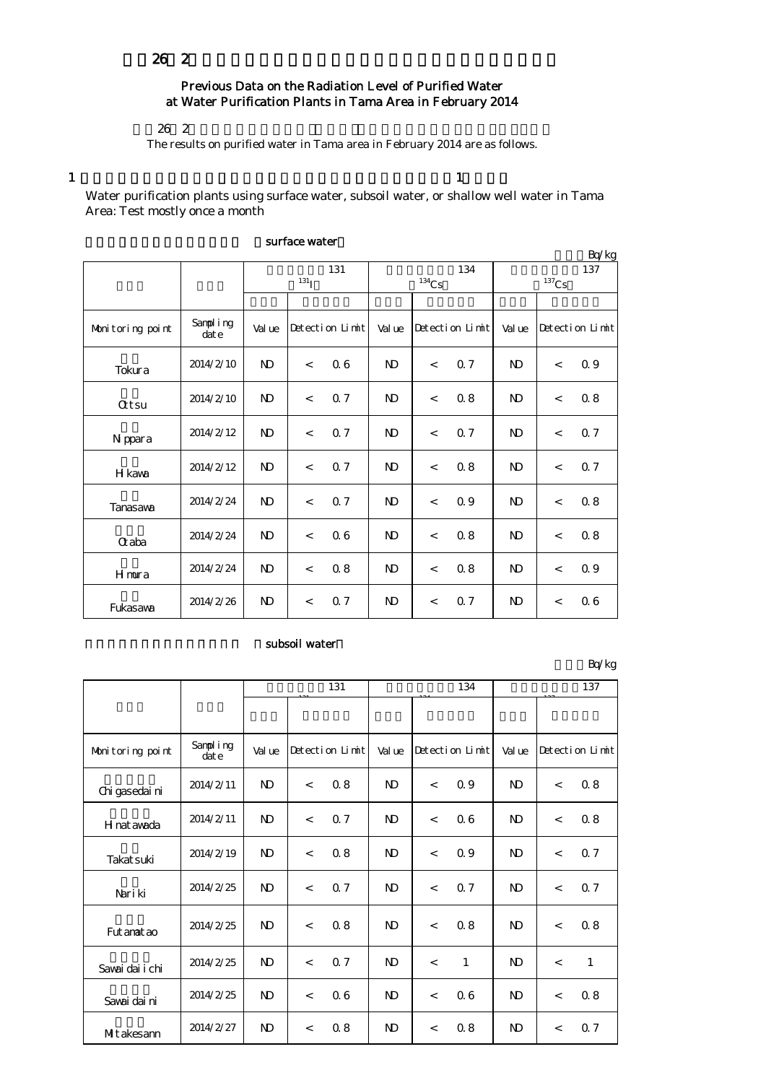## Previous Data on the Radiation Level of Purified Water at Water Purification Plants in Tama Area in February 2014

 $26\,2$ 

The results on purified water in Tama area in February 2014 are as follows.

 $1$ 

Water purification plants using surface water, subsoil water, or shallow well water in Tama Area: Test mostly once a month

|                  |                   |                    |                          |                 |                |                     |                 |                     |                          | Bq/kg           |
|------------------|-------------------|--------------------|--------------------------|-----------------|----------------|---------------------|-----------------|---------------------|--------------------------|-----------------|
|                  |                   |                    |                          | 131             |                |                     | 134             | 137                 |                          |                 |
|                  |                   | $131$ <sup>T</sup> |                          |                 |                | $^{134}\mathrm{Cs}$ |                 | $^{137}\mathrm{Cs}$ |                          |                 |
|                  |                   |                    |                          |                 |                |                     |                 |                     |                          |                 |
| Monitoring point | Sampling<br>dat e | Value              |                          | Detection Limit | Val ue         |                     | Detection Limit | Val ue              |                          | Detection Limit |
| Tokura           | 2014/2/10         | $\mathbf{N}$       | $\lt$                    | 06              | N <sub>D</sub> | $\lt$               | 0.7             | N <sub>D</sub>      | $\overline{\phantom{a}}$ | 0.9             |
| <b>Qtsu</b>      | 2014/2/10         | $\mathbf{N}$       | $\overline{a}$           | 0.7             | $\mathbf{D}$   | $\prec$             | 0.8             | $\mathbf{D}$        | $\overline{\phantom{a}}$ | 08              |
| N ppara          | 2014/2/12         | $\mathbf{D}$       | $\overline{a}$           | 0.7             | $\mathbf{N}$   | $\,<\,$             | 0.7             | $\mathbf{D}$        | $\overline{\phantom{a}}$ | Q 7             |
| H kawa           | 2014/2/12         | $\mathbf{N}$       | $\,<$                    | 0.7             | N <sub>D</sub> | $\prec$             | 0.8             | N <sub>D</sub>      | $\overline{\phantom{a}}$ | Q 7             |
| Tanasawa         | 2014/2/24         | $\mathbf{D}$       | $\overline{\phantom{a}}$ | 0.7             | $\mathbf{N}$   | $\prec$             | 0.9             | N <sub>D</sub>      | $\overline{a}$           | 08              |
| Craba            | 2014/2/24         | $\mathbf{D}$       | $\overline{a}$           | 06              | $\mathbf{D}$   | $\lt$               | 08              | $\mathbf{D}$        | $\overline{\phantom{a}}$ | 08              |
| Hmura            | 2014/2/24         | $\mathbf{N}$       | $\overline{\phantom{a}}$ | 0.8             | <sub>N</sub>   | $\,<\,$             | 0.8             | <b>ND</b>           | $\overline{\phantom{a}}$ | 0.9             |
| Fukasawa         | 2014/2/26         | $\mathbf{N}$       | $\lt$                    | 0.7             | $\mathbf{D}$   | $\,<\,$             | 0.7             | N <sub>D</sub>      | $\overline{\phantom{a}}$ | 06              |

#### surface water

#### subsoil water

単位:Bq/kg

|                  |                  | 131            |                          |                 |                |       | 134             |                | 137                      |                 |
|------------------|------------------|----------------|--------------------------|-----------------|----------------|-------|-----------------|----------------|--------------------------|-----------------|
|                  |                  |                |                          |                 |                |       |                 |                |                          |                 |
| Monitoring point | Sampling<br>date | Value          |                          | Detection Limit | Val ue         |       | Detection Limit | Value          |                          | Detection Limit |
| Chi gasedai ni   | 2014/2/11        | $\mathbf{D}$   | $\overline{\phantom{a}}$ | 0.8             | $\mathbf{D}$   | $\lt$ | 0.9             | N <sub>D</sub> | $\lt$                    | 0.8             |
| H nat awada      | 2014/2/11        | $\mathbf{D}$   | $\overline{\phantom{a}}$ | 0.7             | $\mathbf{D}$   | $\lt$ | 06              | N <sub>D</sub> | $\overline{\phantom{a}}$ | 0.8             |
| Takat suki       | 2014/2/19        | $\mathbf{D}$   | $\overline{a}$           | 0.8             | $\mathbf{D}$   | $\lt$ | 0.9             | N <sub>D</sub> | $\prec$                  | 0.7             |
| Nari ki          | 2014/2/25        | $\mathbf{D}$   | $\overline{a}$           | 0.7             | $\mathbf{D}$   | $\lt$ | 0.7             | N <sub>D</sub> | $\overline{\phantom{a}}$ | 0.7             |
| Fut anat ao      | 2014/2/25        | $\mathbf{D}$   | $\overline{\phantom{a}}$ | 0.8             | N <sub>D</sub> | $\lt$ | 0.8             | N <sub>D</sub> | $\overline{\phantom{a}}$ | 0.8             |
| Sawai dai i chi  | 2014/2/25        | $\mathbf{D}$   | $\lt$                    | 0.7             | $\mathbf{D}$   | $\lt$ | $\mathbf{1}$    | N <sub>D</sub> | $\,<$                    | $\mathbf{1}$    |
| Savai dai ni     | 2014/2/25        | $\mathbf{D}$   | $\overline{\phantom{a}}$ | 06              | $\mathbf{N}$   | $\lt$ | 06              | N <sub>D</sub> | $\overline{\phantom{a}}$ | 0.8             |
| Mitakesann       | 2014/2/27        | N <sub>D</sub> | $\,<$                    | 0.8             | N <sub>D</sub> | $\lt$ | 0.8             | N <sub>D</sub> | $\lt$                    | 0.7             |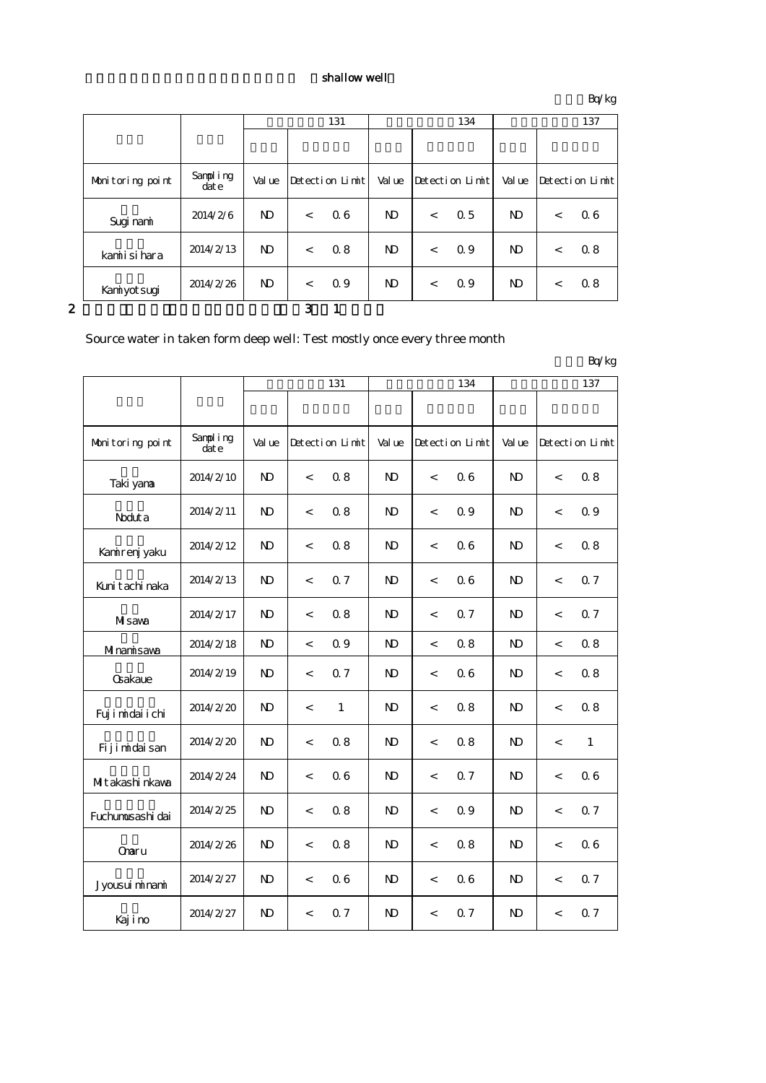### shallow well

単位:Bq/kg

|   |                  |                  |                | 131   |                 |                |       | 134             |                |       | 137             |
|---|------------------|------------------|----------------|-------|-----------------|----------------|-------|-----------------|----------------|-------|-----------------|
|   |                  |                  |                |       |                 |                |       |                 |                |       |                 |
|   | Monitoring point | Sampling<br>date | Value          |       | Detection Limit | Value          |       | Detection Limit | Value          |       | Detection Limit |
|   | Sugi nami        | 2014/2/6         | N <sub>D</sub> | $\lt$ | 06              | N <sub>D</sub> | $\lt$ | 0.5             | N <sub>D</sub> | $\lt$ | 06              |
|   | kamiisi hara     | 2014/2/13        | N <sub>D</sub> | $\lt$ | 0.8             | N <sub>D</sub> | $\lt$ | 0.9             | N <sub>D</sub> | $\lt$ | 0.8             |
|   | Kanniyotsugi     | 2014/2/26        | N <sub>D</sub> | $\lt$ | 0.9             | $\mathbf{D}$   | $\lt$ | 0.9             | ND.            | $\lt$ | 0.8             |
| 2 |                  |                  |                | 3     |                 |                |       |                 |                |       |                 |

# Source water in taken form deep well: Test mostly once every three month

|                   |                      |                |                          |                 |                |                          |                 |                |                          | Lyng            |
|-------------------|----------------------|----------------|--------------------------|-----------------|----------------|--------------------------|-----------------|----------------|--------------------------|-----------------|
|                   |                      | 131            |                          |                 |                |                          | 134             | 137            |                          |                 |
|                   |                      |                |                          |                 |                |                          |                 |                |                          |                 |
| Monitoring point  | Sampling<br>$\det e$ | Val ue         |                          | Detection Limit | Val ue         |                          | Detection Limit | Val ue         |                          | Detection Limit |
| Taki yana         | 2014/2/10            | $\mathbf{D}$   | $\lt$                    | 0.8             | N <sub>D</sub> | $\overline{\phantom{a}}$ | 06              | N <sub>D</sub> | $\overline{\phantom{a}}$ | 0.8             |
| Noduta            | 2014/2/11            | $\mathbf{N}$   | $\,<$                    | 0.8             | $\mathbf{N}$   | $\,<\,$                  | 0.9             | $\mathbf{N}$   | $\,<$                    | 0.9             |
| Kanirenj yaku     | 2014/2/12            | $\mathbf{N}$   | $\,<$                    | 0.8             | $\mathbf{D}$   | $\,<\,$                  | 06              | N <sub>D</sub> | $\,<$                    | 0.8             |
| Kuni tachi naka   | 2014/2/13            | $\mathbf{N}$   | $\,<$                    | 0.7             | $\mathbf{D}$   | $\,<\,$                  | 06              | $\mathbf{D}$   | $\,<$                    | Q 7             |
| Misawa            | 2014/2/17            | N <sub>D</sub> | $\overline{\phantom{a}}$ | 0.8             | N <sub>D</sub> | $\overline{\phantom{a}}$ | 0.7             | ND.            | $\overline{\phantom{a}}$ | Q <sub>7</sub>  |
| Minamisawa        | 2014/2/18            | $\mathbf{N}$   | $\,<$                    | 0.9             | $\mathbf{N}$   | $\,<\,$                  | 0.8             | $\mathbf{D}$   | $\overline{\phantom{a}}$ | 0.8             |
| Gakaue            | 2014/2/19            | $\mathbf{D}$   | $\overline{\phantom{a}}$ | 0.7             | N)             | $\overline{\phantom{a}}$ | 06              | ND.            | $\lt$                    | 0.8             |
| Fuj i midai i chi | 2014/2/20            | $\mathbf{D}$   | $\overline{\phantom{a}}$ | $\mathbf{1}$    | $\mathbf{D}$   | $\overline{\phantom{a}}$ | 0.8             | $\mathbf{D}$   | $\overline{a}$           | 08              |
| Fijimidaisan      | 2014/2/20            | $\mathbf{D}$   | $\,<\,$                  | 0.8             | $\mathbf{N}$   | $\overline{\phantom{a}}$ | 08              | $\mathbf{N}$   | $\,<$                    | $\mathbf{1}$    |
| Mitakashi nkawa   | 2014/2/24            | $\mathbf{N}$   | $\,<$                    | 06              | $\mathbf{N}$   | $\,<\,$                  | 0.7             | $\mathbf{N}$   | $\,<\,$                  | 06              |
| Fuchumusashi dai  | 2014/2/25            | $\mathbf{N}$   | $\,<$                    | 0.8             | $\mathbf{D}$   | $\,<\,$                  | 0.9             | $\mathbf{N}$   | $\,<$                    | Q 7             |
| Onaru             | 2014/2/26            | $\mathbf{D}$   | $\,<\,$                  | 0.8             | $\mathbf{D}$   | $\overline{\phantom{a}}$ | 0.8             | $\mathbf{D}$   | $\,<\,$                  | 06              |
| Jyousui minami    | 2014/2/27            | $\mathbf{N}$   | $\,<\,$                  | 06              | $\mathbf{N}$   | $\,<\,$                  | 06              | $\mathbf{N}$   | $\,<$                    | 0.7             |
| Kajino            | 2014/2/27            | $\mathbf{N}$   | $\,<$                    | 0.7             | $\mathbf{N}$   | $\,<\,$                  | 0.7             | $\mathbf{N}$   | $\,<$                    | 0.7             |

 $R_0/k_0$